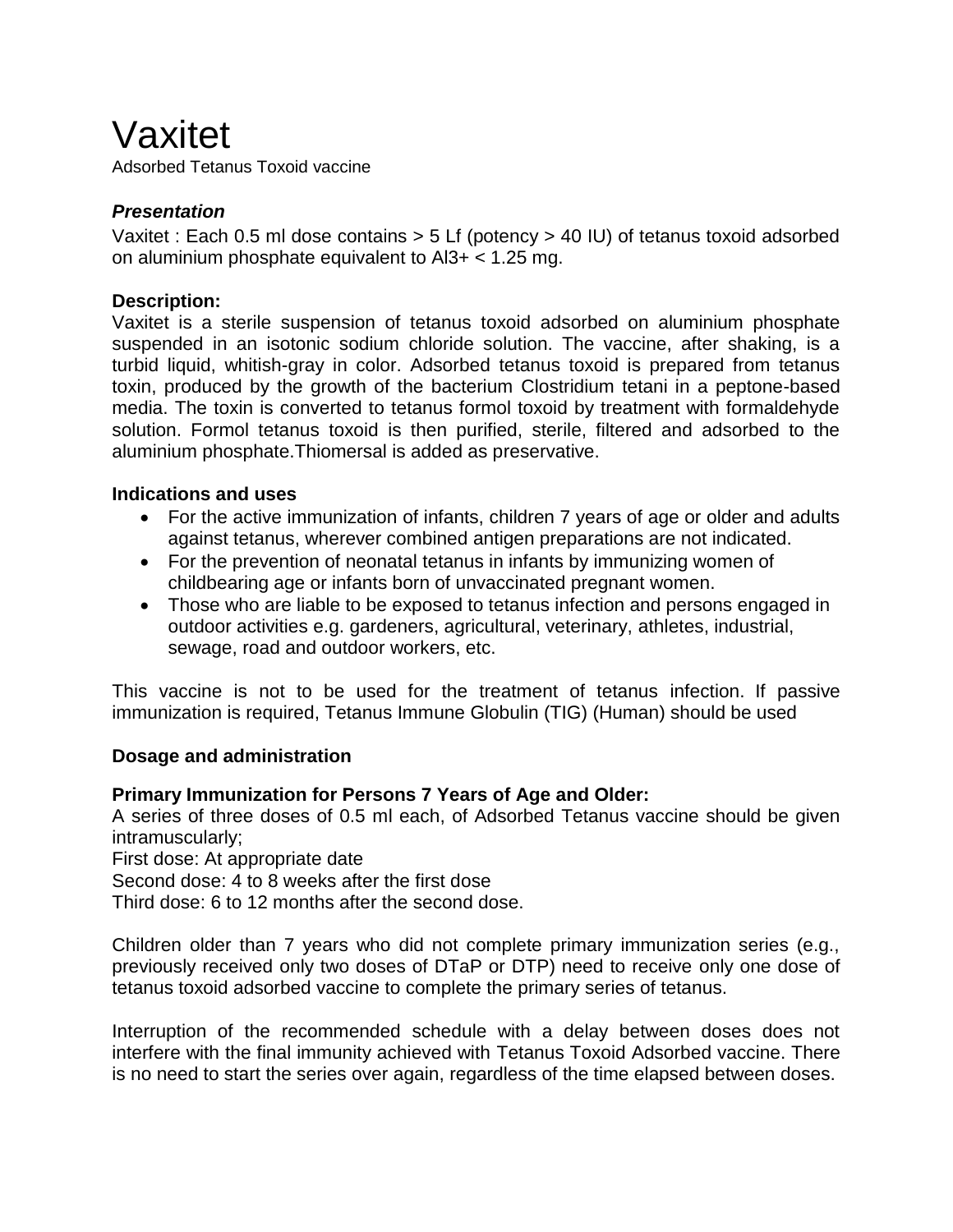# Vaxitet

Adsorbed Tetanus Toxoid vaccine

# *Presentation*

Vaxitet : Each 0.5 ml dose contains > 5 Lf (potency > 40 IU) of tetanus toxoid adsorbed on aluminium phosphate equivalent to  $A13+ < 1.25$  mg.

# **Description:**

Vaxitet is a sterile suspension of tetanus toxoid adsorbed on aluminium phosphate suspended in an isotonic sodium chloride solution. The vaccine, after shaking, is a turbid liquid, whitish-gray in color. Adsorbed tetanus toxoid is prepared from tetanus toxin, produced by the growth of the bacterium Clostridium tetani in a peptone-based media. The toxin is converted to tetanus formol toxoid by treatment with formaldehyde solution. Formol tetanus toxoid is then purified, sterile, filtered and adsorbed to the aluminium phosphate.Thiomersal is added as preservative.

# **Indications and uses**

- For the active [immunization](http://www.rxlist.com/script/main/art.asp?articlekey=3909) of infants, children 7 years of age or older and adults against tetanus, wherever combined [antigen p](http://www.rxlist.com/script/main/art.asp?articlekey=2282)reparations are not indicated.
- For the prevention of [neonatal](http://www.rxlist.com/script/main/art.asp?articlekey=4520) tetanus in infants by immunizing women of childbearing age or infants born of unvaccinated [pregnant](http://www.rxlist.com/script/main/art.asp?articlekey=10695) women.
- Those who are liable to be exposed to tetanus infection and persons engaged in outdoor activities e.g. gardeners, agricultural, veterinary, athletes, industrial, sewage, road and outdoor workers, etc.

This vaccine is not to be used for the treatment of tetanus [infection.](http://www.rxlist.com/script/main/art.asp?articlekey=12923) If passive immunization is required, Tetanus Immune Globulin (TIG) (Human) should be used

# **Dosage and administration**

# **Primary Immunization for Persons 7 Years of Age and Older:**

A series of three doses of 0.5 ml each, of Adsorbed Tetanus vaccine should be given intramuscularly;

First dose: At appropriate date

Second dose: 4 to 8 weeks after the first dose

Third dose: 6 to 12 months after the second dose.

Children older than 7 years who did not complete primary immunization series (e.g., previously received only two doses of DTaP or DTP) need to receive only one dose of tetanus toxoid adsorbed vaccine to complete the primary series of tetanus.

Interruption of the recommended schedule with a delay between doses does not interfere with the final immunity achieved with Tetanus Toxoid Adsorbed vaccine. There is no need to start the series over again, regardless of the time elapsed between doses.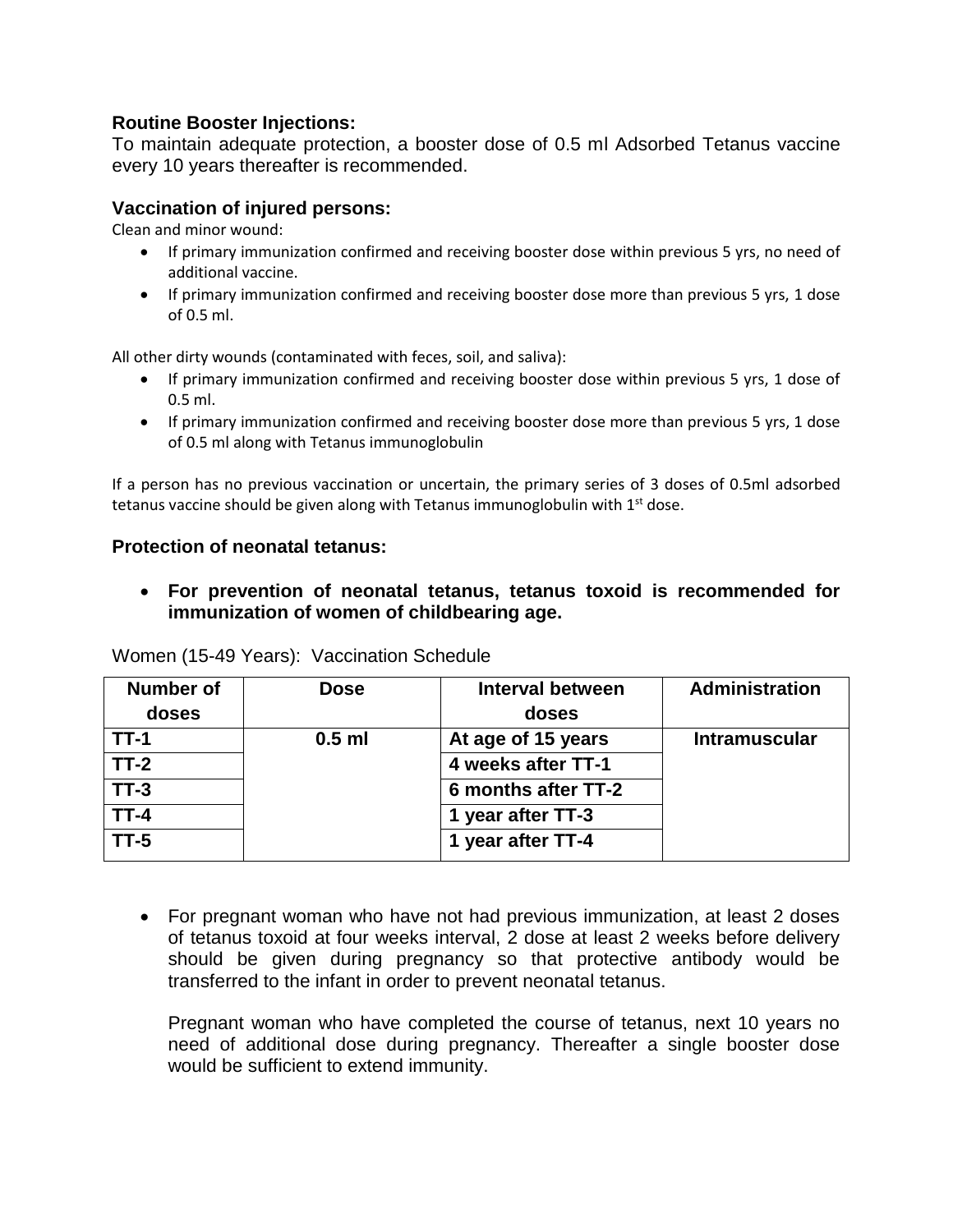# **Routine Booster Injections:**

To maintain adequate protection, a booster dose of 0.5 ml Adsorbed Tetanus vaccine every 10 years thereafter is recommended.

#### **Vaccination of injured persons:**

Clean and minor wound:

- If primary immunization confirmed and receiving booster dose within previous 5 yrs, no need of additional vaccine.
- If primary immunization confirmed and receiving booster dose more than previous 5 yrs, 1 dose of 0.5 ml.

All other dirty wounds (contaminated with feces, soil, and saliva):

- If primary immunization confirmed and receiving booster dose within previous 5 yrs, 1 dose of 0.5 ml.
- If primary immunization confirmed and receiving booster dose more than previous 5 yrs, 1 dose of 0.5 ml along with Tetanus immunoglobulin

If a person has no previous vaccination or uncertain, the primary series of 3 doses of 0.5ml adsorbed tetanus vaccine should be given along with Tetanus immunoglobulin with 1<sup>st</sup> dose.

#### **Protection of neonatal tetanus:**

 **For prevention of neonatal tetanus, tetanus toxoid is recommended for immunization of women of childbearing age.**

| <b>Number of</b> | <b>Dose</b> | Interval between    | <b>Administration</b> |
|------------------|-------------|---------------------|-----------------------|
| doses            |             | doses               |                       |
| $TT-1$           | $0.5$ ml    | At age of 15 years  | <b>Intramuscular</b>  |
| $TT-2$           |             | 4 weeks after TT-1  |                       |
| $TT-3$           |             | 6 months after TT-2 |                       |
| TT-4             |             | 1 year after TT-3   |                       |
| $TT-5$           |             | 1 year after TT-4   |                       |

Women (15-49 Years): Vaccination Schedule

 For pregnant woman who have not had previous immunization, at least 2 doses of tetanus toxoid at four weeks interval, 2 dose at least 2 weeks before delivery should be given during pregnancy so that protective antibody would be transferred to the infant in order to prevent neonatal tetanus.

Pregnant woman who have completed the course of tetanus, next 10 years no need of additional dose during pregnancy. Thereafter a single booster dose would be sufficient to extend immunity.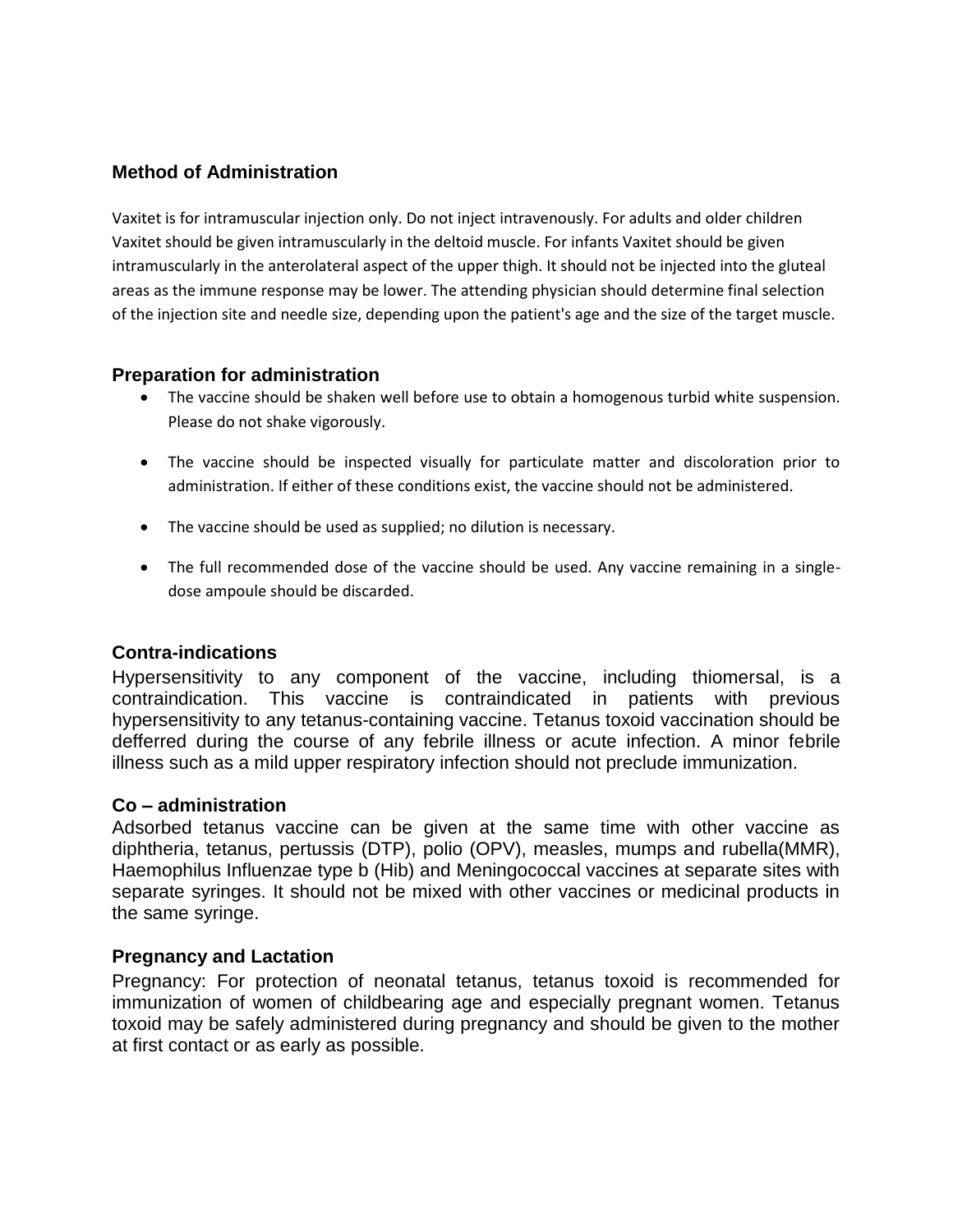# **Method of Administration**

Vaxitet is for intramuscular injection only. Do not inject intravenously. For adults and older children Vaxitet should be given intramuscularly in the deltoid muscle. For infants Vaxitet should be given intramuscularly in the anterolateral aspect of the upper thigh. It should not be injected into the gluteal areas as the immune response may be lower. The attending physician should determine final selection of the injection site and needle size, depending upon the patient's age and the size of the target muscle.

# **Preparation for administration**

- The vaccine should be shaken well before use to obtain a homogenous turbid white suspension. Please do not shake vigorously.
- The vaccine should be inspected visually for particulate matter and discoloration prior to administration. If either of these conditions exist, the vaccine should not be administered.
- The vaccine should be used as supplied; no dilution is necessary.
- The full recommended dose of the vaccine should be used. Any vaccine remaining in a singledose ampoule should be discarded.

# **Contra-indications**

Hypersensitivity to any component of the vaccine, including thiomersal, is a contraindication. This vaccine is contraindicated in patients with previous hypersensitivity to any tetanus-containing vaccine. Tetanus toxoid vaccination should be defferred during the course of any febrile illness or acute infection. A minor febrile illness such as a mild upper respiratory infection should not preclude immunization.

# **Co – administration**

Adsorbed tetanus vaccine can be given at the same time with other vaccine as diphtheria, tetanus, pertussis (DTP), polio (OPV), measles, mumps and rubella(MMR), Haemophilus Influenzae type b (Hib) and Meningococcal vaccines at separate sites with separate syringes. It should not be mixed with other vaccines or medicinal products in the same syringe.

# **Pregnancy and Lactation**

Pregnancy: For protection of neonatal tetanus, tetanus toxoid is recommended for immunization of women of childbearing age and especially pregnant women. Tetanus toxoid may be safely administered during pregnancy and should be given to the mother at first contact or as early as possible.